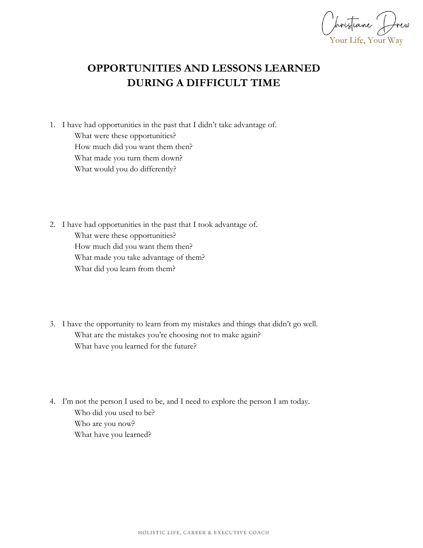Your Life, Your Way

## **OPPORTUNITIES AND LESSONS LEARNED DURING A DIFFICULT TIME**

- 1. I have had opportunities in the past that I didn't take advantage of. What were these opportunities? How much did you want them then? What made you turn them down? What would you do differently?
- 2. I have had opportunities in the past that I took advantage of. What were these opportunities? How much did you want them then? What made you take advantage of them? What did you learn from them?
- 3. I have the opportunity to learn from my mistakes and things that didn't go well. What are the mistakes you're choosing not to make again? What have you learned for the future?
- 4. I'm not the person I used to be, and I need to explore the person I am today. Who did you used to be? Who are you now? What have you learned?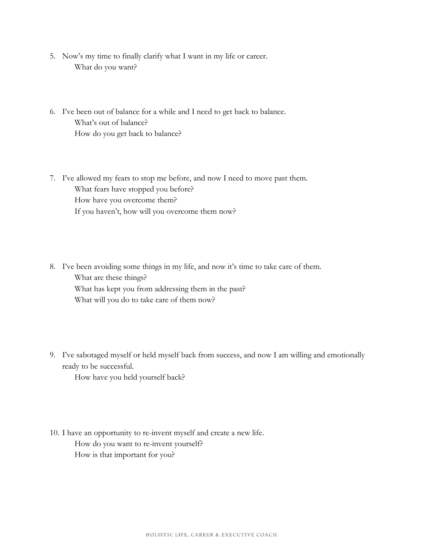- 5. Now's my time to finally clarify what I want in my life or career. What do you want?
- 6. I've been out of balance for a while and I need to get back to balance. What's out of balance? How do you get back to balance?
- 7. I've allowed my fears to stop me before, and now I need to move past them. What fears have stopped you before? How have you overcome them? If you haven't, how will you overcome them now?
- 8. I've been avoiding some things in my life, and now it's time to take care of them. What are these things? What has kept you from addressing them in the past? What will you do to take care of them now?
- 9. I've sabotaged myself or held myself back from success, and now I am willing and emotionally ready to be successful.

How have you held yourself back?

10. I have an opportunity to re-invent myself and create a new life. How do you want to re-invent yourself? How is that important for you?